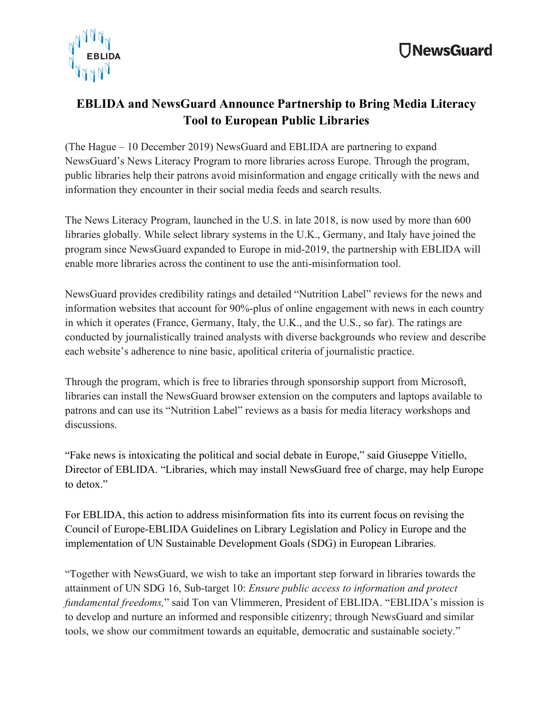

## **EBLIDA and NewsGuard Announce Partnership to Bring Media Literacy Tool to European Public Libraries**

(The Hague – 10 December 2019) NewsGuard and EBLIDA are partnering to expand NewsGuard's News Literacy Program to more libraries across Europe. Through the program, public libraries help their patrons avoid misinformation and engage critically with the news and information they encounter in their social media feeds and search results.

The News Literacy Program, launched in the U.S. in late 2018, is now used by more than 600 libraries globally. While select library systems in the U.K., Germany, and Italy have joined the program since NewsGuard expanded to Europe in mid-2019, the partnership with EBLIDA will enable more libraries across the continent to use the anti-misinformation tool.

NewsGuard provides credibility ratings and detailed "Nutrition Label" reviews for the news and information websites that account for 90%-plus of online engagement with news in each country in which it operates (France, Germany, Italy, the U.K., and the U.S., so far). The ratings are conducted by journalistically trained analysts with diverse backgrounds who review and describe each website's adherence to nine basic, apolitical criteria of journalistic practice.

Through the program, which is free to libraries through sponsorship support from Microsoft, libraries can install the NewsGuard browser extension on the computers and laptops available to patrons and can use its "Nutrition Label" reviews as a basis for media literacy workshops and discussions.

"Fake news is intoxicating the political and social debate in Europe," said Giuseppe Vitiello, Director of EBLIDA. "Libraries, which may install NewsGuard free of charge, may help Europe to detox"

For EBLIDA, this action to address misinformation fits into its current focus on revising the Council of Europe-EBLIDA Guidelines on Library Legislation and Policy in Europe and the implementation of UN Sustainable Development Goals (SDG) in European Libraries.

"Together with NewsGuard, we wish to take an important step forward in libraries towards the attainment of UN SDG 16, Sub-target 10: *Ensure public access to information and protect fundamental freedoms,*" said Ton van Vlimmeren, President of EBLIDA. "EBLIDA's mission is to develop and nurture an informed and responsible citizenry; through NewsGuard and similar tools, we show our commitment towards an equitable, democratic and sustainable society."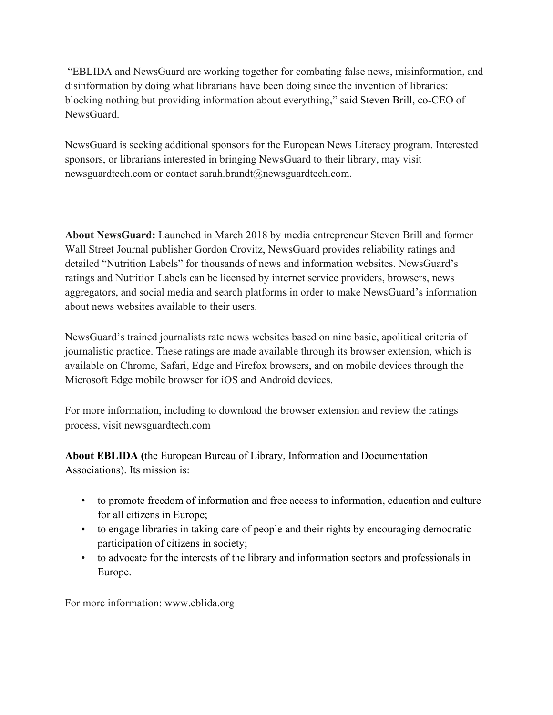"EBLIDA and NewsGuard are working together for combating false news, misinformation, and disinformation by doing what librarians have been doing since the invention of libraries: blocking nothing but providing information about everything," said Steven Brill, co-CEO of NewsGuard.

NewsGuard is seeking additional sponsors for the European News Literacy program. Interested sponsors, or librarians interested in bringing NewsGuard to their library, may visit newsguardtech.com or contact sarah.brandt@newsguardtech.com.

**About NewsGuard:** Launched in March 2018 by media entrepreneur Steven Brill and former Wall Street Journal publisher Gordon Crovitz, NewsGuard provides reliability ratings and detailed "Nutrition Labels" for thousands of news and information websites. NewsGuard's ratings and Nutrition Labels can be licensed by internet service providers, browsers, news aggregators, and social media and search platforms in order to make NewsGuard's information about news websites available to their users.

NewsGuard's trained journalists rate news websites based on nine basic, apolitical criteria of journalistic practice. These ratings are made available through its browser extension, which is available on Chrome, Safari, Edge and Firefox browsers, and on mobile devices through the Microsoft Edge mobile browser for iOS and Android devices.

For more information, including to download the browser extension and review the ratings process, visit newsguardtech.com

**About EBLIDA (**the European Bureau of Library, Information and Documentation Associations). Its mission is:

- to promote freedom of information and free access to information, education and culture for all citizens in Europe;
- to engage libraries in taking care of people and their rights by encouraging democratic participation of citizens in society;
- to advocate for the interests of the library and information sectors and professionals in Europe.

For more information: www.eblida.org

—